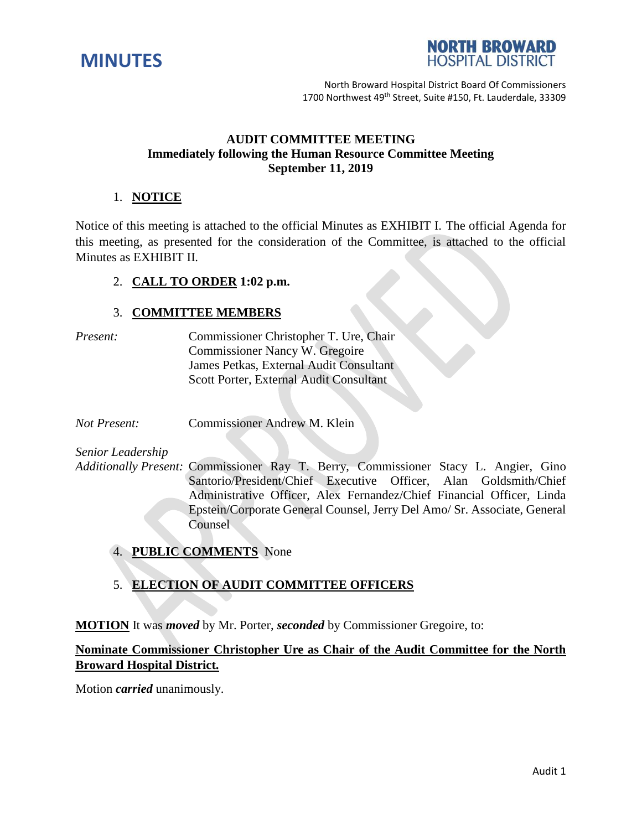



North Broward Hospital District Board Of Commissioners 1700 Northwest 49<sup>th</sup> Street, Suite #150, Ft. Lauderdale, 33309

### **AUDIT COMMITTEE MEETING Immediately following the Human Resource Committee Meeting September 11, 2019**

### 1. **NOTICE**

Notice of this meeting is attached to the official Minutes as EXHIBIT I. The official Agenda for this meeting, as presented for the consideration of the Committee, is attached to the official Minutes as EXHIBIT II.

### 2. **CALL TO ORDER 1:02 p.m.**

#### 3. **COMMITTEE MEMBERS**

*Present:* Commissioner Christopher T. Ure, Chair Commissioner Nancy W. Gregoire James Petkas, External Audit Consultant Scott Porter, External Audit Consultant

*Not Present:* Commissioner Andrew M. Klein

*Senior Leadership*

*Additionally Present:* Commissioner Ray T. Berry, Commissioner Stacy L. Angier, Gino Santorio/President/Chief Executive Officer, Alan Goldsmith/Chief Administrative Officer, Alex Fernandez/Chief Financial Officer, Linda Epstein/Corporate General Counsel, Jerry Del Amo/ Sr. Associate, General Counsel

4. **PUBLIC COMMENTS** None

## 5. **ELECTION OF AUDIT COMMITTEE OFFICERS**

**MOTION** It was *moved* by Mr. Porter, *seconded* by Commissioner Gregoire, to:

# **Nominate Commissioner Christopher Ure as Chair of the Audit Committee for the North Broward Hospital District.**

Motion *carried* unanimously.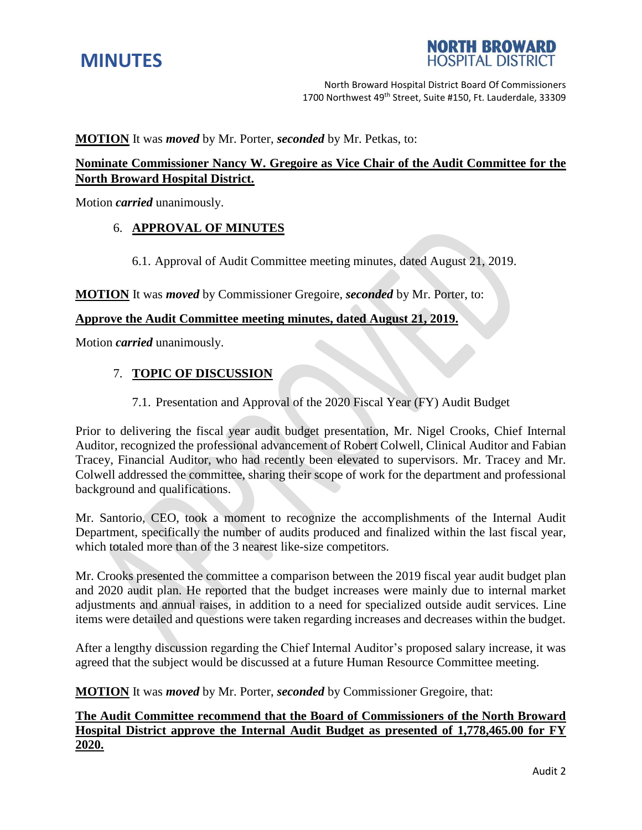



North Broward Hospital District Board Of Commissioners 1700 Northwest 49<sup>th</sup> Street, Suite #150, Ft. Lauderdale, 33309

**MOTION** It was *moved* by Mr. Porter, *seconded* by Mr. Petkas, to:

## **Nominate Commissioner Nancy W. Gregoire as Vice Chair of the Audit Committee for the North Broward Hospital District.**

Motion *carried* unanimously.

### 6. **APPROVAL OF MINUTES**

6.1. Approval of Audit Committee meeting minutes, dated August 21, 2019.

**MOTION** It was *moved* by Commissioner Gregoire, *seconded* by Mr. Porter, to:

#### **Approve the Audit Committee meeting minutes, dated August 21, 2019.**

Motion *carried* unanimously.

#### 7. **TOPIC OF DISCUSSION**

#### 7.1. Presentation and Approval of the 2020 Fiscal Year (FY) Audit Budget

Prior to delivering the fiscal year audit budget presentation, Mr. Nigel Crooks, Chief Internal Auditor, recognized the professional advancement of Robert Colwell, Clinical Auditor and Fabian Tracey, Financial Auditor, who had recently been elevated to supervisors. Mr. Tracey and Mr. Colwell addressed the committee, sharing their scope of work for the department and professional background and qualifications.

Mr. Santorio, CEO, took a moment to recognize the accomplishments of the Internal Audit Department, specifically the number of audits produced and finalized within the last fiscal year, which totaled more than of the 3 nearest like-size competitors.

Mr. Crooks presented the committee a comparison between the 2019 fiscal year audit budget plan and 2020 audit plan. He reported that the budget increases were mainly due to internal market adjustments and annual raises, in addition to a need for specialized outside audit services. Line items were detailed and questions were taken regarding increases and decreases within the budget.

After a lengthy discussion regarding the Chief Internal Auditor's proposed salary increase, it was agreed that the subject would be discussed at a future Human Resource Committee meeting.

**MOTION** It was *moved* by Mr. Porter, *seconded* by Commissioner Gregoire, that:

## **The Audit Committee recommend that the Board of Commissioners of the North Broward Hospital District approve the Internal Audit Budget as presented of 1,778,465.00 for FY 2020.**